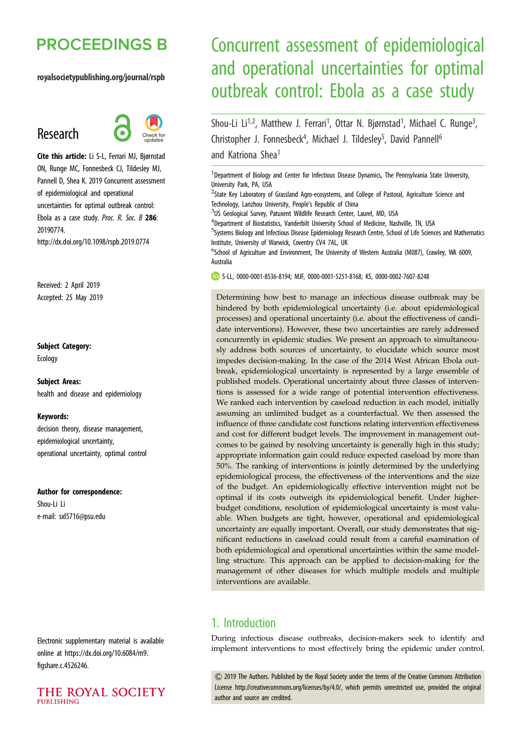## **PROCEEDINGS B**

#### royalsocietypublishing.org/journal/rspb

## Research



Cite this article: Li S-L, Ferrari MJ, Bjørnstad ON, Runge MC, Fonnesbeck CJ, Tildesley MJ, Pannell D, Shea K. 2019 Concurrent assessment of epidemiological and operational uncertainties for optimal outbreak control: Ebola as a case study. Proc. R. Soc. B 286: 20190774. http://dx.doi.org/10.1098/rspb.2019.0774

Received: 2 April 2019 Accepted: 25 May 2019

#### Subject Category:

Ecology

Subject Areas: health and disease and epidemiology

#### Keywords:

decision theory, disease management, epidemiological uncertainty, operational uncertainty, optimal control

Author for correspondence:

Shou-Li Li e-mail: [sxl5716@psu.edu](mailto:sxl5716@psu.edu)

Electronic supplementary material is available online at [https://dx.doi.org/10.6084/m9.](https://dx.doi.org/10.6084/m9.figshare.c.4526246) [figshare.c.4526246](https://dx.doi.org/10.6084/m9.figshare.c.4526246).



# Concurrent assessment of epidemiological and operational uncertainties for optimal outbreak control: Ebola as a case study

Shou-Li Li<sup>1,2</sup>, Matthew J. Ferrari<sup>1</sup>, Ottar N. Bjørnstad<sup>1</sup>, Michael C. Runge<sup>3</sup> , Christopher J. Fonnesbeck<sup>4</sup>, Michael J. Tildesley<sup>5</sup>, David Pannell<sup>6</sup> and Katriona Shea1

<sup>1</sup>Department of Biology and Center for Infectious Disease Dynamics, The Pennsylvania State University, University Park, PA, USA

<sup>2</sup>State Key Laboratory of Grassland Agro-ecosystems, and College of Pastoral, Agriculture Science and Technology, Lanzhou University, People's Republic of China

<sup>3</sup>US Geological Survey, Patuxent Wildlife Research Center, Laurel, MD, USA

<sup>4</sup>Department of Biostatistics, Vanderbilt University School of Medicine, Nashville, TN, USA

<sup>5</sup>Systems Biology and Infectious Disease Epidemiology Research Centre, School of Life Sciences and Mathematics Institute, University of Warwick, Coventry CV4 7AL, UK

<sup>6</sup>School of Agriculture and Environment, The University of Western Australia (M087), Crawley, WA 6009, Australia

S-LL, [0000-0001-8536-8194](http://orcid.org/0000-0001-8536-8194); MJF, [0000-0001-5251-8168](http://orcid.org/0000-0001-5251-8168); KS, [0000-0002-7607-8248](http://orcid.org/0000-0002-7607-8248)

Determining how best to manage an infectious disease outbreak may be hindered by both epidemiological uncertainty (i.e. about epidemiological processes) and operational uncertainty (i.e. about the effectiveness of candidate interventions). However, these two uncertainties are rarely addressed concurrently in epidemic studies. We present an approach to simultaneously address both sources of uncertainty, to elucidate which source most impedes decision-making. In the case of the 2014 West African Ebola outbreak, epidemiological uncertainty is represented by a large ensemble of published models. Operational uncertainty about three classes of interventions is assessed for a wide range of potential intervention effectiveness. We ranked each intervention by caseload reduction in each model, initially assuming an unlimited budget as a counterfactual. We then assessed the influence of three candidate cost functions relating intervention effectiveness and cost for different budget levels. The improvement in management outcomes to be gained by resolving uncertainty is generally high in this study; appropriate information gain could reduce expected caseload by more than 50%. The ranking of interventions is jointly determined by the underlying epidemiological process, the effectiveness of the interventions and the size of the budget. An epidemiologically effective intervention might not be optimal if its costs outweigh its epidemiological benefit. Under higherbudget conditions, resolution of epidemiological uncertainty is most valuable. When budgets are tight, however, operational and epidemiological uncertainty are equally important. Overall, our study demonstrates that significant reductions in caseload could result from a careful examination of both epidemiological and operational uncertainties within the same modelling structure. This approach can be applied to decision-making for the management of other diseases for which multiple models and multiple interventions are available.

## 1. Introduction

During infectious disease outbreaks, decision-makers seek to identify and implement interventions to most effectively bring the epidemic under control.

& 2019 The Authors. Published by the Royal Society under the terms of the Creative Commons Attribution License<http://creativecommons.org/licenses/by/4.0/>, which permits unrestricted use, provided the original author and source are credited.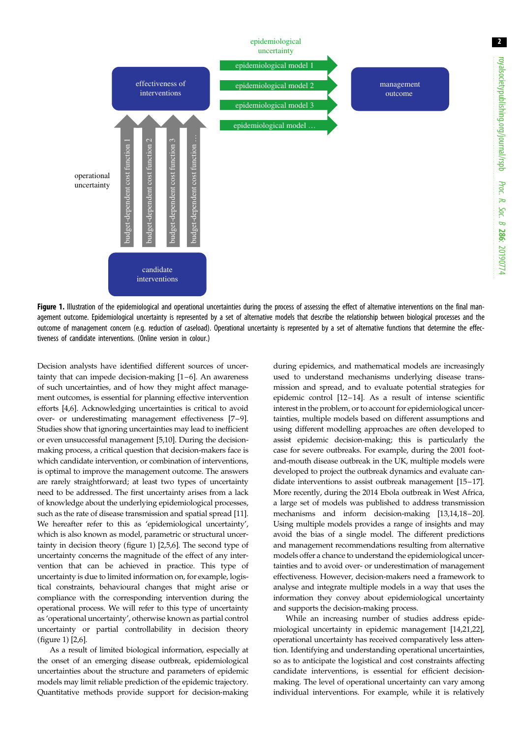

Figure 1. Illustration of the epidemiological and operational uncertainties during the process of assessing the effect of alternative interventions on the final management outcome. Epidemiological uncertainty is represented by a set of alternative models that describe the relationship between biological processes and the outcome of management concern (e.g. reduction of caseload). Operational uncertainty is represented by a set of alternative functions that determine the effectiveness of candidate interventions. (Online version in colour.)

Decision analysts have identified different sources of uncertainty that can impede decision-making [\[1](#page-8-0)–[6](#page-8-0)]. An awareness of such uncertainties, and of how they might affect management outcomes, is essential for planning effective intervention efforts [\[4,6](#page-8-0)]. Acknowledging uncertainties is critical to avoid over- or underestimating management effectiveness [\[7](#page-8-0)–[9](#page-8-0)]. Studies show that ignoring uncertainties may lead to inefficient or even unsuccessful management [\[5,10\]](#page-8-0). During the decisionmaking process, a critical question that decision-makers face is which candidate intervention, or combination of interventions, is optimal to improve the management outcome. The answers are rarely straightforward; at least two types of uncertainty need to be addressed. The first uncertainty arises from a lack of knowledge about the underlying epidemiological processes, such as the rate of disease transmission and spatial spread [[11](#page-8-0)]. We hereafter refer to this as 'epidemiological uncertainty', which is also known as model, parametric or structural uncertainty in decision theory (figure 1) [\[2](#page-8-0),[5,6\]](#page-8-0). The second type of uncertainty concerns the magnitude of the effect of any intervention that can be achieved in practice. This type of uncertainty is due to limited information on, for example, logistical constraints, behavioural changes that might arise or compliance with the corresponding intervention during the operational process. We will refer to this type of uncertainty as 'operational uncertainty', otherwise known as partial control uncertainty or partial controllability in decision theory (figure 1) [[2,6\]](#page-8-0).

As a result of limited biological information, especially at the onset of an emerging disease outbreak, epidemiological uncertainties about the structure and parameters of epidemic models may limit reliable prediction of the epidemic trajectory. Quantitative methods provide support for decision-making

during epidemics, and mathematical models are increasingly used to understand mechanisms underlying disease transmission and spread, and to evaluate potential strategies for epidemic control [\[12](#page-8-0)–[14](#page-8-0)]. As a result of intense scientific interest in the problem, or to account for epidemiological uncertainties, multiple models based on different assumptions and using different modelling approaches are often developed to assist epidemic decision-making; this is particularly the case for severe outbreaks. For example, during the 2001 footand-mouth disease outbreak in the UK, multiple models were developed to project the outbreak dynamics and evaluate candidate interventions to assist outbreak management [[15](#page-9-0)–[17\]](#page-9-0). More recently, during the 2014 Ebola outbreak in West Africa, a large set of models was published to address transmission mechanisms and inform decision-making [\[13,14,](#page-8-0)[18](#page-9-0)–[20\]](#page-9-0). Using multiple models provides a range of insights and may avoid the bias of a single model. The different predictions and management recommendations resulting from alternative models offer a chance to understand the epidemiological uncertainties and to avoid over- or underestimation of management effectiveness. However, decision-makers need a framework to analyse and integrate multiple models in a way that uses the information they convey about epidemiological uncertainty and supports the decision-making process.

While an increasing number of studies address epidemiological uncertainty in epidemic management [[14](#page-8-0),[21,22\]](#page-9-0), operational uncertainty has received comparatively less attention. Identifying and understanding operational uncertainties, so as to anticipate the logistical and cost constraints affecting candidate interventions, is essential for efficient decisionmaking. The level of operational uncertainty can vary among individual interventions. For example, while it is relatively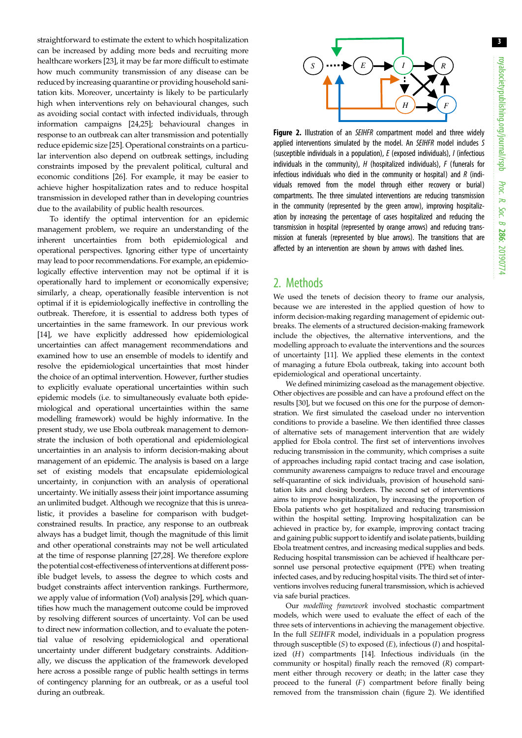<span id="page-2-0"></span>straightforward to estimate the extent to which hospitalization can be increased by adding more beds and recruiting more healthcare workers [[23\]](#page-9-0), it may be far more difficult to estimate how much community transmission of any disease can be reduced by increasing quarantine or providing household sanitation kits. Moreover, uncertainty is likely to be particularly high when interventions rely on behavioural changes, such as avoiding social contact with infected individuals, through information campaigns [\[24,25](#page-9-0)]; behavioural changes in response to an outbreak can alter transmission and potentially reduce epidemic size [\[25](#page-9-0)]. Operational constraints on a particular intervention also depend on outbreak settings, including constraints imposed by the prevalent political, cultural and economic conditions [\[26](#page-9-0)]. For example, it may be easier to achieve higher hospitalization rates and to reduce hospital transmission in developed rather than in developing countries due to the availability of public health resources.

To identify the optimal intervention for an epidemic management problem, we require an understanding of the inherent uncertainties from both epidemiological and operational perspectives. Ignoring either type of uncertainty may lead to poor recommendations. For example, an epidemiologically effective intervention may not be optimal if it is operationally hard to implement or economically expensive; similarly, a cheap, operationally feasible intervention is not optimal if it is epidemiologically ineffective in controlling the outbreak. Therefore, it is essential to address both types of uncertainties in the same framework. In our previous work [\[14](#page-8-0)], we have explicitly addressed how epidemiological uncertainties can affect management recommendations and examined how to use an ensemble of models to identify and resolve the epidemiological uncertainties that most hinder the choice of an optimal intervention. However, further studies to explicitly evaluate operational uncertainties within such epidemic models (i.e. to simultaneously evaluate both epidemiological and operational uncertainties within the same modelling framework) would be highly informative. In the present study, we use Ebola outbreak management to demonstrate the inclusion of both operational and epidemiological uncertainties in an analysis to inform decision-making about management of an epidemic. The analysis is based on a large set of existing models that encapsulate epidemiological uncertainty, in conjunction with an analysis of operational uncertainty. We initially assess their joint importance assuming an unlimited budget. Although we recognize that this is unrealistic, it provides a baseline for comparison with budgetconstrained results. In practice, any response to an outbreak always has a budget limit, though the magnitude of this limit and other operational constraints may not be well articulated at the time of response planning [[27,28\]](#page-9-0). We therefore explore the potential cost-effectiveness of interventions at different possible budget levels, to assess the degree to which costs and budget constraints affect intervention rankings. Furthermore, we apply value of information (VoI) analysis [\[29\]](#page-9-0), which quantifies how much the management outcome could be improved by resolving different sources of uncertainty. VoI can be used to direct new information collection, and to evaluate the potential value of resolving epidemiological and operational uncertainty under different budgetary constraints. Additionally, we discuss the application of the framework developed here across a possible range of public health settings in terms of contingency planning for an outbreak, or as a useful tool during an outbreak.



Figure 2. Illustration of an SEIHFR compartment model and three widely applied interventions simulated by the model. An SEIHFR model includes S (susceptible individuals in a population),  $E$  (exposed individuals),  $I$  (infectious individuals in the community),  $H$  (hospitalized individuals),  $F$  (funerals for infectious individuals who died in the community or hospital) and  $R$  (individuals removed from the model through either recovery or burial) compartments. The three simulated interventions are reducing transmission in the community (represented by the green arrow), improving hospitalization by increasing the percentage of cases hospitalized and reducing the transmission in hospital (represented by orange arrows) and reducing transmission at funerals (represented by blue arrows). The transitions that are affected by an intervention are shown by arrows with dashed lines.

#### 2. Methods

We used the tenets of decision theory to frame our analysis, because we are interested in the applied question of how to inform decision-making regarding management of epidemic outbreaks. The elements of a structured decision-making framework include the objectives, the alternative interventions, and the modelling approach to evaluate the interventions and the sources of uncertainty [[11](#page-8-0)]. We applied these elements in the context of managing a future Ebola outbreak, taking into account both epidemiological and operational uncertainty.

We defined minimizing caseload as the management objective. Other objectives are possible and can have a profound effect on the results [\[30\]](#page-9-0), but we focused on this one for the purpose of demonstration. We first simulated the caseload under no intervention conditions to provide a baseline. We then identified three classes of alternative sets of management intervention that are widely applied for Ebola control. The first set of interventions involves reducing transmission in the community, which comprises a suite of approaches including rapid contact tracing and case isolation, community awareness campaigns to reduce travel and encourage self-quarantine of sick individuals, provision of household sanitation kits and closing borders. The second set of interventions aims to improve hospitalization, by increasing the proportion of Ebola patients who get hospitalized and reducing transmission within the hospital setting. Improving hospitalization can be achieved in practice by, for example, improving contact tracing and gaining public support to identify and isolate patients, building Ebola treatment centres, and increasing medical supplies and beds. Reducing hospital transmission can be achieved if healthcare personnel use personal protective equipment (PPE) when treating infected cases, and by reducing hospital visits. The third set of interventions involves reducing funeral transmission, which is achieved via safe burial practices.

Our modelling framework involved stochastic compartment models, which were used to evaluate the effect of each of the three sets of interventions in achieving the management objective. In the full SEIHFR model, individuals in a population progress through susceptible  $(S)$  to exposed  $(E)$ , infectious  $(I)$  and hospitalized (H) compartments [\[14\]](#page-8-0). Infectious individuals (in the community or hospital) finally reach the removed (R) compartment either through recovery or death; in the latter case they proceed to the funeral (F) compartment before finally being removed from the transmission chain (figure 2). We identified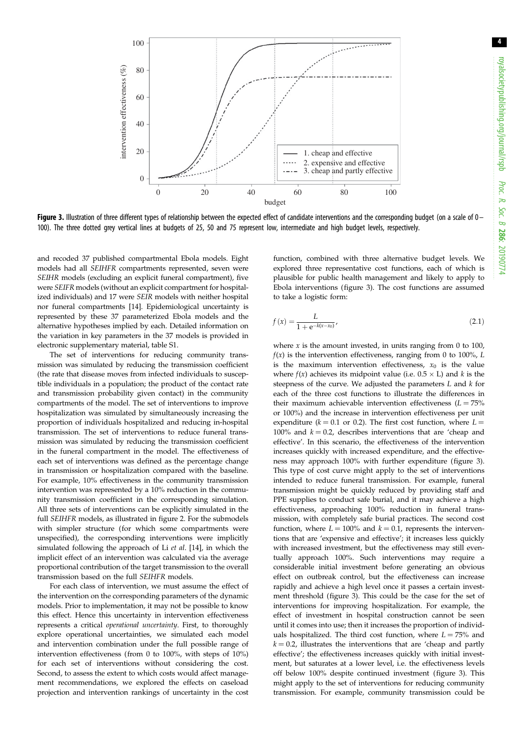

Figure 3. Illustration of three different types of relationship between the expected effect of candidate interventions and the corresponding budget (on a scale of 0-100). The three dotted grey vertical lines at budgets of 25, 50 and 75 represent low, intermediate and high budget levels, respectively.

and recoded 37 published compartmental Ebola models. Eight models had all SEIHFR compartments represented, seven were SEIHR models (excluding an explicit funeral compartment), five were SEIFR models (without an explicit compartment for hospitalized individuals) and 17 were SEIR models with neither hospital nor funeral compartments [[14](#page-8-0)]. Epidemiological uncertainty is represented by these 37 parameterized Ebola models and the alternative hypotheses implied by each. Detailed information on the variation in key parameters in the 37 models is provided in electronic supplementary material, table S1.

The set of interventions for reducing community transmission was simulated by reducing the transmission coefficient (the rate that disease moves from infected individuals to susceptible individuals in a population; the product of the contact rate and transmission probability given contact) in the community compartments of the model. The set of interventions to improve hospitalization was simulated by simultaneously increasing the proportion of individuals hospitalized and reducing in-hospital transmission. The set of interventions to reduce funeral transmission was simulated by reducing the transmission coefficient in the funeral compartment in the model. The effectiveness of each set of interventions was defined as the percentage change in transmission or hospitalization compared with the baseline. For example, 10% effectiveness in the community transmission intervention was represented by a 10% reduction in the community transmission coefficient in the corresponding simulation. All three sets of interventions can be explicitly simulated in the full SEIHFR models, as illustrated in [figure 2.](#page-2-0) For the submodels with simpler structure (for which some compartments were unspecified), the corresponding interventions were implicitly simulated following the approach of Li et al. [[14](#page-8-0)], in which the implicit effect of an intervention was calculated via the average proportional contribution of the target transmission to the overall transmission based on the full SEIHFR models.

For each class of intervention, we must assume the effect of the intervention on the corresponding parameters of the dynamic models. Prior to implementation, it may not be possible to know this effect. Hence this uncertainty in intervention effectiveness represents a critical operational uncertainty. First, to thoroughly explore operational uncertainties, we simulated each model and intervention combination under the full possible range of intervention effectiveness (from 0 to 100%, with steps of 10%) for each set of interventions without considering the cost. Second, to assess the extent to which costs would affect management recommendations, we explored the effects on caseload projection and intervention rankings of uncertainty in the cost function, combined with three alternative budget levels. We explored three representative cost functions, each of which is plausible for public health management and likely to apply to Ebola interventions (figure 3). The cost functions are assumed to take a logistic form:

$$
f(x) = \frac{L}{1 + e^{-k(x - x_0)}},
$$
\n(2.1)

where  $x$  is the amount invested, in units ranging from 0 to 100,  $f(x)$  is the intervention effectiveness, ranging from 0 to 100%, L is the maximum intervention effectiveness,  $x_0$  is the value where  $f(x)$  achieves its midpoint value (i.e.  $0.5 \times L$ ) and k is the steepness of the curve. We adjusted the parameters L and k for each of the three cost functions to illustrate the differences in their maximum achievable intervention effectiveness  $(L = 75\%)$ or 100%) and the increase in intervention effectiveness per unit expenditure ( $k = 0.1$  or 0.2). The first cost function, where  $L =$ 100% and  $k = 0.2$ , describes interventions that are 'cheap and effective'. In this scenario, the effectiveness of the intervention increases quickly with increased expenditure, and the effectiveness may approach 100% with further expenditure (figure 3). This type of cost curve might apply to the set of interventions intended to reduce funeral transmission. For example, funeral transmission might be quickly reduced by providing staff and PPE supplies to conduct safe burial, and it may achieve a high effectiveness, approaching 100% reduction in funeral transmission, with completely safe burial practices. The second cost function, where  $L = 100\%$  and  $k = 0.1$ , represents the interventions that are 'expensive and effective'; it increases less quickly with increased investment, but the effectiveness may still eventually approach 100%. Such interventions may require a considerable initial investment before generating an obvious effect on outbreak control, but the effectiveness can increase rapidly and achieve a high level once it passes a certain investment threshold (figure 3). This could be the case for the set of interventions for improving hospitalization. For example, the effect of investment in hospital construction cannot be seen until it comes into use; then it increases the proportion of individuals hospitalized. The third cost function, where  $L = 75%$  and  $k = 0.2$ , illustrates the interventions that are 'cheap and partly effective'; the effectiveness increases quickly with initial investment, but saturates at a lower level, i.e. the effectiveness levels off below 100% despite continued investment (figure 3). This might apply to the set of interventions for reducing community transmission. For example, community transmission could be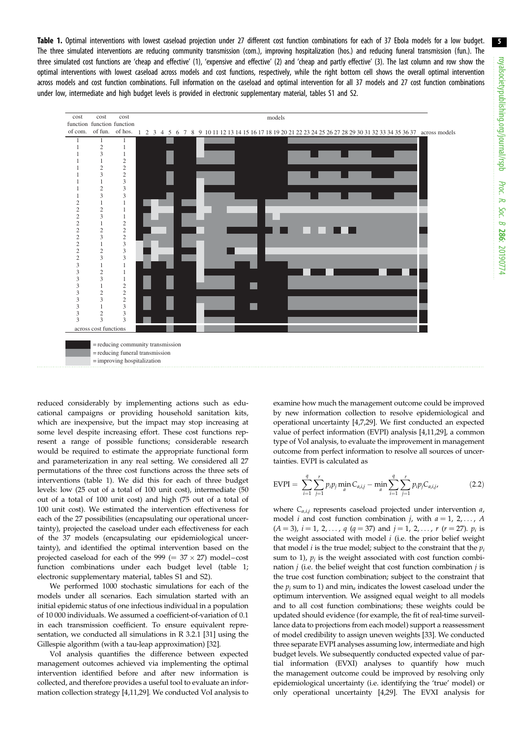<span id="page-4-0"></span>Table 1. Optimal interventions with lowest caseload projection under 27 different cost function combinations for each of 37 Ebola models for a low budget. The three simulated interventions are reducing community transmission (com.), improving hospitalization (hos.) and reducing funeral transmission (fun.). The three simulated cost functions are 'cheap and effective' (1), 'expensive and effective' (2) and 'cheap and partly effective' (3). The last column and row show the optimal interventions with lowest caseload across models and cost functions, respectively, while the right bottom cell shows the overall optimal intervention across models and cost function combinations. Full information on the caseload and optimal intervention for all 37 models and 27 cost function combinations under low, intermediate and high budget levels is provided in electronic supplementary material, tables S1 and S2.



reduced considerably by implementing actions such as educational campaigns or providing household sanitation kits, which are inexpensive, but the impact may stop increasing at some level despite increasing effort. These cost functions represent a range of possible functions; considerable research would be required to estimate the appropriate functional form and parameterization in any real setting. We considered all 27 permutations of the three cost functions across the three sets of interventions (table 1). We did this for each of three budget levels: low (25 out of a total of 100 unit cost), intermediate (50 out of a total of 100 unit cost) and high (75 out of a total of 100 unit cost). We estimated the intervention effectiveness for each of the 27 possibilities (encapsulating our operational uncertainty), projected the caseload under each effectiveness for each of the 37 models (encapsulating our epidemiological uncertainty), and identified the optimal intervention based on the projected caseload for each of the 999 ( $= 37 \times 27$ ) model–cost function combinations under each budget level (table 1; electronic supplementary material, tables S1 and S2).

We performed 1000 stochastic simulations for each of the models under all scenarios. Each simulation started with an initial epidemic status of one infectious individual in a population of 10 000 individuals. We assumed a coefficient-of-variation of 0.1 in each transmission coefficient. To ensure equivalent representation, we conducted all simulations in R 3.2.1 [[31](#page-9-0)] using the Gillespie algorithm (with a tau-leap approximation) [[32](#page-9-0)].

VoI analysis quantifies the difference between expected management outcomes achieved via implementing the optimal intervention identified before and after new information is collected, and therefore provides a useful tool to evaluate an information collection strategy [[4,11,](#page-8-0)[29](#page-9-0)]. We conducted VoI analysis to

examine how much the management outcome could be improved by new information collection to resolve epidemiological and operational uncertainty [[4,7](#page-8-0)[,29\]](#page-9-0). We first conducted an expected value of perfect information (EVPI) analysis [[4,11,](#page-8-0)[29](#page-9-0)], a common type of VoI analysis, to evaluate the improvement in management outcome from perfect information to resolve all sources of uncertainties. EVPI is calculated as

$$
EVPI = \sum_{i=1}^{q} \sum_{j=1}^{r} p_i p_j \min_{a} C_{a,i,j} - \min_{a} \sum_{i=1}^{q} \sum_{j=1}^{r} p_i p_j C_{a,i,j},
$$
 (2.2)

where  $C_{a,i,j}$  represents caseload projected under intervention  $a$ , model *i* and cost function combination *j*, with  $a = 1, 2, \ldots, A$  $(A = 3)$ ,  $i = 1, 2, ..., q$   $(q = 37)$  and  $j = 1, 2, ..., r$   $(r = 27)$ .  $p_i$  is the weight associated with model  $i$  (i.e. the prior belief weight that model *i* is the true model; subject to the constraint that the  $p_i$ sum to 1),  $p_i$  is the weight associated with cost function combination  $j$  (i.e. the belief weight that cost function combination  $j$  is the true cost function combination; subject to the constraint that the  $p_i$  sum to 1) and min<sub>a</sub> indicates the lowest caseload under the optimum intervention. We assigned equal weight to all models and to all cost function combinations; these weights could be updated should evidence (for example, the fit of real-time surveillance data to projections from each model) support a reassessment of model credibility to assign uneven weights [\[33\]](#page-9-0). We conducted three separate EVPI analyses assuming low, intermediate and high budget levels. We subsequently conducted expected value of partial information (EVXI) analyses to quantify how much the management outcome could be improved by resolving only epidemiological uncertainty (i.e. identifying the 'true' model) or only operational uncertainty [[4](#page-8-0)[,29\]](#page-9-0). The EVXI analysis for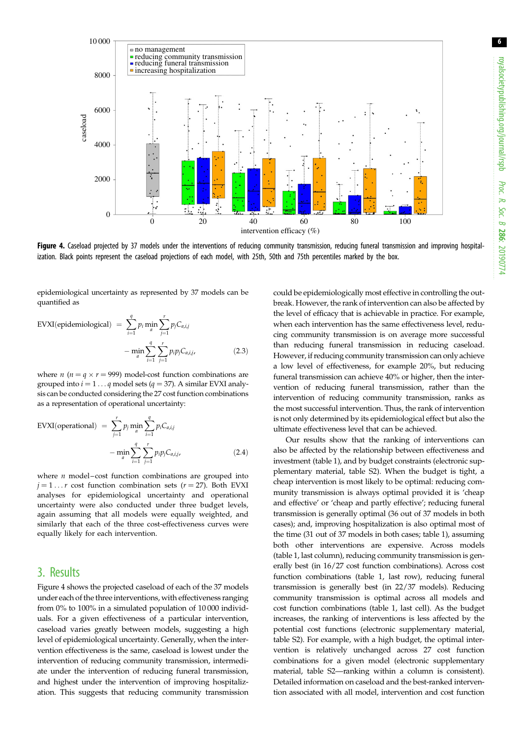<span id="page-5-0"></span>

Figure 4. Caseload projected by 37 models under the interventions of reducing community transmission, reducing funeral transmission and improving hospitalization. Black points represent the caseload projections of each model, with 25th, 50th and 75th percentiles marked by the box.

epidemiological uncertainty as represented by 37 models can be quantified as

$$
EVXI(\text{epidemiological}) = \sum_{i=1}^{q} p_i \min_{a} \sum_{j=1}^{r} p_j C_{a,i,j} - \min_{a} \sum_{i=1}^{q} \sum_{j=1}^{r} p_i p_j C_{a,i,j}, \qquad (2.3)
$$

where *n* ( $n = q \times r = 999$ ) model-cost function combinations are grouped into  $i = 1 \dots q$  model sets ( $q = 37$ ). A similar EVXI analysis can be conducted considering the 27 cost function combinations as a representation of operational uncertainty:

$$
EVXI(operational) = \sum_{j=1}^{r} p_j \min_{a} \sum_{i=1}^{q} p_i C_{a,i,j}
$$

$$
- \min_{a} \sum_{i=1}^{q} \sum_{j=1}^{r} p_i p_j C_{a,i,j}, \qquad (2.4)
$$

where  $n$  model-cost function combinations are grouped into  $j = 1...r$  cost function combination sets ( $r = 27$ ). Both EVXI analyses for epidemiological uncertainty and operational uncertainty were also conducted under three budget levels, again assuming that all models were equally weighted, and similarly that each of the three cost-effectiveness curves were equally likely for each intervention.

#### 3. Results

Figure 4 shows the projected caseload of each of the 37 models under each of the three interventions, with effectiveness ranging from 0% to 100% in a simulated population of 10 000 individuals. For a given effectiveness of a particular intervention, caseload varies greatly between models, suggesting a high level of epidemiological uncertainty. Generally, when the intervention effectiveness is the same, caseload is lowest under the intervention of reducing community transmission, intermediate under the intervention of reducing funeral transmission, and highest under the intervention of improving hospitalization. This suggests that reducing community transmission could be epidemiologically most effective in controlling the outbreak. However, the rank of intervention can also be affected by the level of efficacy that is achievable in practice. For example, when each intervention has the same effectiveness level, reducing community transmission is on average more successful than reducing funeral transmission in reducing caseload. However, if reducing community transmission can only achieve a low level of effectiveness, for example 20%, but reducing funeral transmission can achieve 40% or higher, then the intervention of reducing funeral transmission, rather than the intervention of reducing community transmission, ranks as the most successful intervention. Thus, the rank of intervention is not only determined by its epidemiological effect but also the ultimate effectiveness level that can be achieved.

Our results show that the ranking of interventions can also be affected by the relationship between effectiveness and investment ([table 1](#page-4-0)), and by budget constraints (electronic supplementary material, table S2). When the budget is tight, a cheap intervention is most likely to be optimal: reducing community transmission is always optimal provided it is 'cheap and effective' or 'cheap and partly effective'; reducing funeral transmission is generally optimal (36 out of 37 models in both cases); and, improving hospitalization is also optimal most of the time (31 out of 37 models in both cases; [table 1](#page-4-0)), assuming both other interventions are expensive. Across models ([table 1,](#page-4-0) last column), reducing community transmission is generally best (in 16/27 cost function combinations). Across cost function combinations [\(table 1](#page-4-0), last row), reducing funeral transmission is generally best (in 22/37 models). Reducing community transmission is optimal across all models and cost function combinations [\(table 1](#page-4-0), last cell). As the budget increases, the ranking of interventions is less affected by the potential cost functions (electronic supplementary material, table S2). For example, with a high budget, the optimal intervention is relatively unchanged across 27 cost function combinations for a given model (electronic supplementary material, table S2—ranking within a column is consistent). Detailed information on caseload and the best-ranked intervention associated with all model, intervention and cost function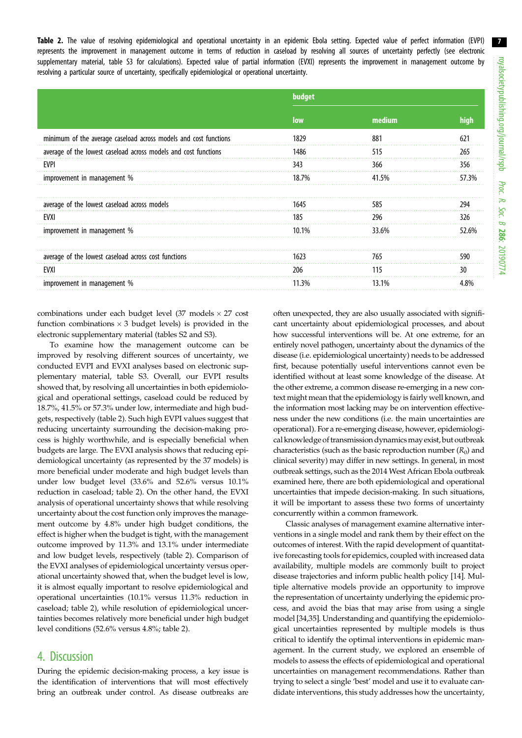Table 2. The value of resolving epidemiological and operational uncertainty in an epidemic Ebola setting. Expected value of perfect information (EVPI) represents the improvement in management outcome in terms of reduction in caseload by resolving all sources of uncertainty perfectly (see electronic supplementary material, table S3 for calculations). Expected value of partial information (EVXI) represents the improvement in management outcome by resolving a particular source of uncertainty, specifically epidemiological or operational uncertainty.

|                                                                  | <b>budget</b> |        |       |
|------------------------------------------------------------------|---------------|--------|-------|
|                                                                  | <b>low</b>    | medium | high  |
| minimum of the average caseload across models and cost functions | 1829          | 881    | 621   |
| average of the lowest caseload across models and cost functions  | 1486          | 515    | 265   |
| EVPI                                                             | 343           | 366    | 356   |
| improvement in management %                                      | 18.7%         | 41.5%  | 57.3% |
| average of the lowest caseload across models                     | 1645          | 585    | 294   |
| EVXI                                                             | 185           | 296    | 326   |
| improvement in management %                                      | 10.1%         | 33.6%  | 52.6% |
| average of the lowest caseload across cost functions             | 1623          | 765    | 590   |
| EVXI                                                             | 206           | 115    | 30    |
| improvement in management %                                      | 11.3%         | 13.1%  |       |

combinations under each budget level  $(37 \text{ models} \times 27 \text{ cost})$ function combinations  $\times$  3 budget levels) is provided in the electronic supplementary material (tables S2 and S3).

To examine how the management outcome can be improved by resolving different sources of uncertainty, we conducted EVPI and EVXI analyses based on electronic supplementary material, table S3. Overall, our EVPI results showed that, by resolving all uncertainties in both epidemiological and operational settings, caseload could be reduced by 18.7%, 41.5% or 57.3% under low, intermediate and high budgets, respectively (table 2). Such high EVPI values suggest that reducing uncertainty surrounding the decision-making process is highly worthwhile, and is especially beneficial when budgets are large. The EVXI analysis shows that reducing epidemiological uncertainty (as represented by the 37 models) is more beneficial under moderate and high budget levels than under low budget level (33.6% and 52.6% versus 10.1% reduction in caseload; table 2). On the other hand, the EVXI analysis of operational uncertainty shows that while resolving uncertainty about the cost function only improves the management outcome by 4.8% under high budget conditions, the effect is higher when the budget is tight, with the management outcome improved by 11.3% and 13.1% under intermediate and low budget levels, respectively (table 2). Comparison of the EVXI analyses of epidemiological uncertainty versus operational uncertainty showed that, when the budget level is low, it is almost equally important to resolve epidemiological and operational uncertainties (10.1% versus 11.3% reduction in caseload; table 2), while resolution of epidemiological uncertainties becomes relatively more beneficial under high budget level conditions (52.6% versus 4.8%; table 2).

#### 4. Discussion

During the epidemic decision-making process, a key issue is the identification of interventions that will most effectively bring an outbreak under control. As disease outbreaks are often unexpected, they are also usually associated with significant uncertainty about epidemiological processes, and about how successful interventions will be. At one extreme, for an entirely novel pathogen, uncertainty about the dynamics of the disease (i.e. epidemiological uncertainty) needs to be addressed first, because potentially useful interventions cannot even be identified without at least some knowledge of the disease. At the other extreme, a common disease re-emerging in a new context might mean that the epidemiology is fairly well known, and the information most lacking may be on intervention effectiveness under the new conditions (i.e. the main uncertainties are operational). For a re-emerging disease, however, epidemiological knowledge of transmission dynamics may exist, but outbreak characteristics (such as the basic reproduction number  $(R_0)$  and clinical severity) may differ in new settings. In general, in most outbreak settings, such as the 2014 West African Ebola outbreak examined here, there are both epidemiological and operational uncertainties that impede decision-making. In such situations, it will be important to assess these two forms of uncertainty concurrently within a common framework.

Classic analyses of management examine alternative interventions in a single model and rank them by their effect on the outcomes of interest. With the rapid development of quantitative forecasting tools for epidemics, coupled with increased data availability, multiple models are commonly built to project disease trajectories and inform public health policy [\[14](#page-8-0)]. Multiple alternative models provide an opportunity to improve the representation of uncertainty underlying the epidemic process, and avoid the bias that may arise from using a single model [\[34,35](#page-9-0)]. Understanding and quantifying the epidemiological uncertainties represented by multiple models is thus critical to identify the optimal interventions in epidemic management. In the current study, we explored an ensemble of models to assess the effects of epidemiological and operational uncertainties on management recommendations. Rather than trying to select a single 'best' model and use it to evaluate candidate interventions, this study addresses how the uncertainty,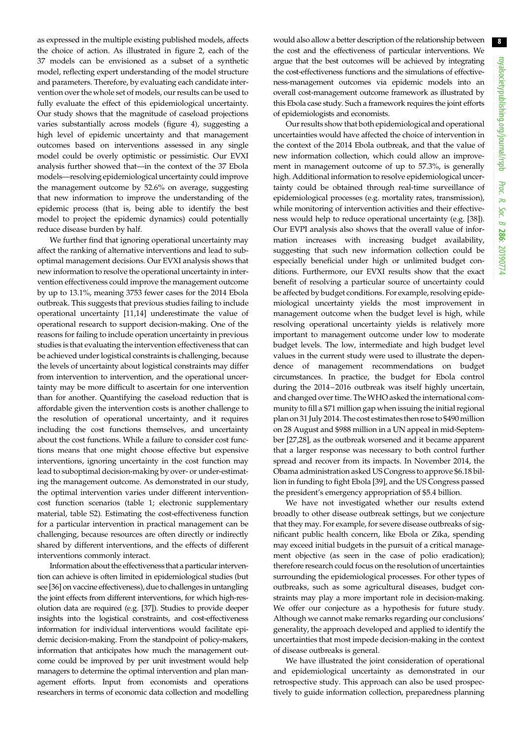as expressed in the multiple existing published models, affects the choice of action. As illustrated in [figure 2](#page-2-0), each of the 37 models can be envisioned as a subset of a synthetic model, reflecting expert understanding of the model structure and parameters. Therefore, by evaluating each candidate intervention over the whole set of models, our results can be used to fully evaluate the effect of this epidemiological uncertainty. Our study shows that the magnitude of caseload projections varies substantially across models [\(figure 4](#page-5-0)), suggesting a high level of epidemic uncertainty and that management outcomes based on interventions assessed in any single model could be overly optimistic or pessimistic. Our EVXI analysis further showed that—in the context of the 37 Ebola models—resolving epidemiological uncertainty could improve the management outcome by 52.6% on average, suggesting that new information to improve the understanding of the epidemic process (that is, being able to identify the best model to project the epidemic dynamics) could potentially reduce disease burden by half.

We further find that ignoring operational uncertainty may affect the ranking of alternative interventions and lead to suboptimal management decisions. Our EVXI analysis shows that new information to resolve the operational uncertainty in intervention effectiveness could improve the management outcome by up to 13.1%, meaning 3753 fewer cases for the 2014 Ebola outbreak. This suggests that previous studies failing to include operational uncertainty [\[11,14](#page-8-0)] underestimate the value of operational research to support decision-making. One of the reasons for failing to include operation uncertainty in previous studies is that evaluating the intervention effectiveness that can be achieved under logistical constraints is challenging, because the levels of uncertainty about logistical constraints may differ from intervention to intervention, and the operational uncertainty may be more difficult to ascertain for one intervention than for another. Quantifying the caseload reduction that is affordable given the intervention costs is another challenge to the resolution of operational uncertainty, and it requires including the cost functions themselves, and uncertainty about the cost functions. While a failure to consider cost functions means that one might choose effective but expensive interventions, ignoring uncertainty in the cost function may lead to suboptimal decision-making by over- or under-estimating the management outcome. As demonstrated in our study, the optimal intervention varies under different interventioncost function scenarios [\(table 1](#page-4-0); electronic supplementary material, table S2). Estimating the cost-effectiveness function for a particular intervention in practical management can be challenging, because resources are often directly or indirectly shared by different interventions, and the effects of different interventions commonly interact.

Information about the effectiveness that a particular intervention can achieve is often limited in epidemiological studies (but see [[36](#page-9-0)] on vaccine effectiveness), due to challenges in untangling the joint effects from different interventions, for which high-resolution data are required (e.g. [\[37\]](#page-9-0)). Studies to provide deeper insights into the logistical constraints, and cost-effectiveness information for individual interventions would facilitate epidemic decision-making. From the standpoint of policy-makers, information that anticipates how much the management outcome could be improved by per unit investment would help managers to determine the optimal intervention and plan management efforts. Input from economists and operations researchers in terms of economic data collection and modelling

would also allow a better description of the relationship between the cost and the effectiveness of particular interventions. We argue that the best outcomes will be achieved by integrating the cost-effectiveness functions and the simulations of effectiveness-management outcomes via epidemic models into an overall cost-management outcome framework as illustrated by this Ebola case study. Such a framework requires the joint efforts of epidemiologists and economists.

Our results show that both epidemiological and operational uncertainties would have affected the choice of intervention in the context of the 2014 Ebola outbreak, and that the value of new information collection, which could allow an improvement in management outcome of up to 57.3%, is generally high. Additional information to resolve epidemiological uncertainty could be obtained through real-time surveillance of epidemiological processes (e.g. mortality rates, transmission), while monitoring of intervention activities and their effectiveness would help to reduce operational uncertainty (e.g. [[38\]](#page-9-0)). Our EVPI analysis also shows that the overall value of information increases with increasing budget availability, suggesting that such new information collection could be especially beneficial under high or unlimited budget conditions. Furthermore, our EVXI results show that the exact benefit of resolving a particular source of uncertainty could be affected by budget conditions. For example, resolving epidemiological uncertainty yields the most improvement in management outcome when the budget level is high, while resolving operational uncertainty yields is relatively more important to management outcome under low to moderate budget levels. The low, intermediate and high budget level values in the current study were used to illustrate the dependence of management recommendations on budget circumstances. In practice, the budget for Ebola control during the 2014–2016 outbreak was itself highly uncertain, and changed over time. TheWHO asked the international community to fill a \$71 million gap when issuing the initial regional plan on 31 July 2014. The cost estimates then rose to \$490 million on 28 August and \$988 million in a UN appeal in mid-September [[27,28\]](#page-9-0), as the outbreak worsened and it became apparent that a larger response was necessary to both control further spread and recover from its impacts. In November 2014, the Obama administration asked US Congress to approve \$6.18 billion in funding to fight Ebola [[39\]](#page-9-0), and the US Congress passed the president's emergency appropriation of \$5.4 billion.

We have not investigated whether our results extend broadly to other disease outbreak settings, but we conjecture that they may. For example, for severe disease outbreaks of significant public health concern, like Ebola or Zika, spending may exceed initial budgets in the pursuit of a critical management objective (as seen in the case of polio eradication); therefore research could focus on the resolution of uncertainties surrounding the epidemiological processes. For other types of outbreaks, such as some agricultural diseases, budget constraints may play a more important role in decision-making. We offer our conjecture as a hypothesis for future study. Although we cannot make remarks regarding our conclusions' generality, the approach developed and applied to identify the uncertainties that most impede decision-making in the context of disease outbreaks is general.

We have illustrated the joint consideration of operational and epidemiological uncertainty as demonstrated in our retrospective study. This approach can also be used prospectively to guide information collection, preparedness planning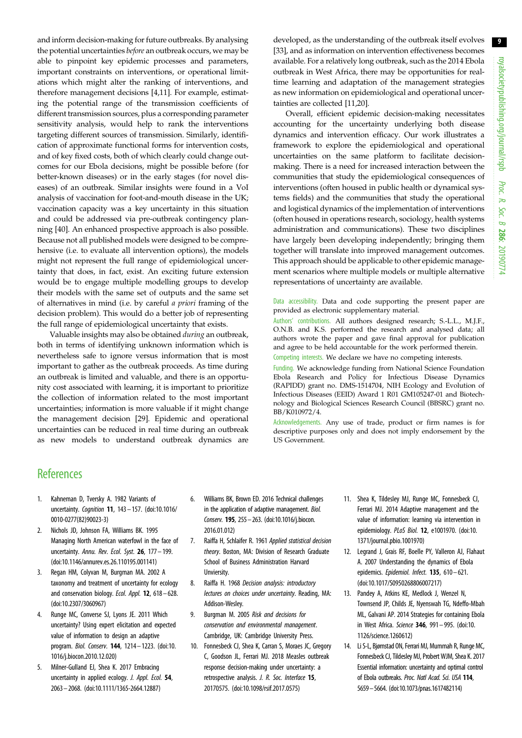<span id="page-8-0"></span>and inform decision-making for future outbreaks. By analysing the potential uncertainties before an outbreak occurs, we may be able to pinpoint key epidemic processes and parameters, important constraints on interventions, or operational limitations which might alter the ranking of interventions, and therefore management decisions [4,11]. For example, estimating the potential range of the transmission coefficients of different transmission sources, plus a corresponding parameter sensitivity analysis, would help to rank the interventions targeting different sources of transmission. Similarly, identification of approximate functional forms for intervention costs, and of key fixed costs, both of which clearly could change outcomes for our Ebola decisions, might be possible before (for better-known diseases) or in the early stages (for novel diseases) of an outbreak. Similar insights were found in a VoI analysis of vaccination for foot-and-mouth disease in the UK; vaccination capacity was a key uncertainty in this situation and could be addressed via pre-outbreak contingency planning [[40](#page-9-0)]. An enhanced prospective approach is also possible. Because not all published models were designed to be comprehensive (i.e. to evaluate all intervention options), the models might not represent the full range of epidemiological uncertainty that does, in fact, exist. An exciting future extension would be to engage multiple modelling groups to develop their models with the same set of outputs and the same set of alternatives in mind (i.e. by careful a priori framing of the decision problem). This would do a better job of representing the full range of epidemiological uncertainty that exists.

Valuable insights may also be obtained during an outbreak, both in terms of identifying unknown information which is nevertheless safe to ignore versus information that is most important to gather as the outbreak proceeds. As time during an outbreak is limited and valuable, and there is an opportunity cost associated with learning, it is important to prioritize the collection of information related to the most important uncertainties; information is more valuable if it might change the management decision [\[29](#page-9-0)]. Epidemic and operational uncertainties can be reduced in real time during an outbreak as new models to understand outbreak dynamics are

developed, as the understanding of the outbreak itself evolves [[33\]](#page-9-0), and as information on intervention effectiveness becomes available. For a relatively long outbreak, such as the 2014 Ebola outbreak in West Africa, there may be opportunities for realtime learning and adaptation of the management strategies as new information on epidemiological and operational uncertainties are collected [11[,20](#page-9-0)].

Overall, efficient epidemic decision-making necessitates accounting for the uncertainty underlying both disease dynamics and intervention efficacy. Our work illustrates a framework to explore the epidemiological and operational uncertainties on the same platform to facilitate decisionmaking. There is a need for increased interaction between the communities that study the epidemiological consequences of interventions (often housed in public health or dynamical systems fields) and the communities that study the operational and logistical dynamics of the implementation of interventions (often housed in operations research, sociology, health systems administration and communications). These two disciplines have largely been developing independently; bringing them together will translate into improved management outcomes. This approach should be applicable to other epidemic management scenarios where multiple models or multiple alternative representations of uncertainty are available.

Data accessibility. Data and code supporting the present paper are provided as electronic supplementary material.

Authors' contributions. All authors designed research; S.-L.L., M.J.F., O.N.B. and K.S. performed the research and analysed data; all authors wrote the paper and gave final approval for publication and agree to be held accountable for the work performed therein.

Competing interests. We declare we have no competing interests.

Funding. We acknowledge funding from National Science Foundation Ebola Research and Policy for Infectious Disease Dynamics (RAPIDD) grant no. DMS-1514704, NIH Ecology and Evolution of Infectious Diseases (EEID) Award 1 R01 GM105247-01 and Biotechnology and Biological Sciences Research Council (BBSRC) grant no. BB/K010972/4.

Acknowledgements. Any use of trade, product or firm names is for descriptive purposes only and does not imply endorsement by the US Government.

### **References**

- 1. Kahneman D, Tversky A. 1982 Variants of uncertainty. Cognition 11, 143 – 157. [\(doi:10.1016/](http://dx.doi.org/10.1016/0010-0277(82)90023-3) [0010-0277\(82\)90023-3](http://dx.doi.org/10.1016/0010-0277(82)90023-3))
- 2. Nichols JD, Johnson FA, Williams BK. 1995 Managing North American waterfowl in the face of uncertainty. Annu. Rev. Ecol. Syst. 26, 177-199. [\(doi:10.1146/annurev.es.26.110195.001141\)](http://dx.doi.org/10.1146/annurev.es.26.110195.001141)
- 3. Regan HM, Colyvan M, Burgman MA. 2002 A taxonomy and treatment of uncertainty for ecology and conservation biology. Ecol. Appl. 12, 618– 628. [\(doi:10.2307/3060967\)](http://dx.doi.org/10.2307/3060967)
- 4. Runge MC, Converse SJ, Lyons JE. 2011 Which uncertainty? Using expert elicitation and expected value of information to design an adaptive program. Biol. Conserv. 144, 1214 – 1223. [\(doi:10.](http://dx.doi.org/10.1016/j.biocon.2010.12.020) [1016/j.biocon.2010.12.020\)](http://dx.doi.org/10.1016/j.biocon.2010.12.020)
- 5. Milner-Gulland EJ, Shea K. 2017 Embracing uncertainty in applied ecology. J. Appl. Ecol. 54, 2063 – 2068. [\(doi:10.1111/1365-2664.12887\)](http://dx.doi.org/10.1111/1365-2664.12887)
- 6. Williams BK, Brown ED. 2016 Technical challenges in the application of adaptive management. Biol. Conserv. 195, 255–263. ([doi:10.1016/j.biocon.](http://dx.doi.org/10.1016/j.biocon.2016.01.012) [2016.01.012\)](http://dx.doi.org/10.1016/j.biocon.2016.01.012)
- 7. Raiffa H, Schlaifer R. 1961 Applied statistical decision theory. Boston, MA: Division of Research Graduate School of Business Administration Harvard Unviersity.
- 8. Raiffa H. 1968 Decision analysis: introductory lectures on choices under uncertainty. Reading, MA: Addison-Wesley.
- 9. Burgman M. 2005 Risk and decisions for conservation and environmental management. Cambridge, UK: Cambridge University Press.
- 10. Fonnesbeck CJ, Shea K, Carran S, Moraes JC, Gregory C, Goodson JL, Ferrari MJ. 2018 Measles outbreak response decision-making under uncertainty: a retrospective analysis. J. R. Soc. Interface 15, 20170575. ([doi:10.1098/rsif.2017.0575\)](http://dx.doi.org/10.1098/rsif.2017.0575)
- 11. Shea K, Tildesley MJ, Runge MC, Fonnesbeck CJ, Ferrari MJ. 2014 Adaptive management and the value of information: learning via intervention in epidemiology. PLoS Biol. 12, e1001970. ([doi:10.](http://dx.doi.org/10.1371/journal.pbio.1001970) [1371/journal.pbio.1001970\)](http://dx.doi.org/10.1371/journal.pbio.1001970)
- 12. Legrand J, Grais RF, Boelle PY, Valleron AJ, Flahaut A. 2007 Understanding the dynamics of Ebola epidemics. Epidemiol. Infect. 135, 610-621. ([doi:10.1017/S0950268806007217\)](http://dx.doi.org/10.1017/S0950268806007217)
- 13. Pandey A, Atkins KE, Medlock J, Wenzel N, Townsend JP, Childs JE, Nyenswah TG, Ndeffo-Mbah ML, Galvani AP. 2014 Strategies for containing Ebola in West Africa. Science 346, 991– 995. ([doi:10.](http://dx.doi.org/10.1126/science.1260612) [1126/science.1260612](http://dx.doi.org/10.1126/science.1260612))
- 14. Li S-L, Bjørnstad ON, Ferrari MJ, Mummah R, Runge MC, Fonnesbeck CJ, Tildesley MJ, Probert WJM, Shea K. 2017 Essential information: uncertainty and optimal control of Ebola outbreaks. Proc. Natl Acad. Sci. USA 114, 5659–5664. ([doi:10.1073/pnas.1617482114\)](http://dx.doi.org/10.1073/pnas.1617482114)